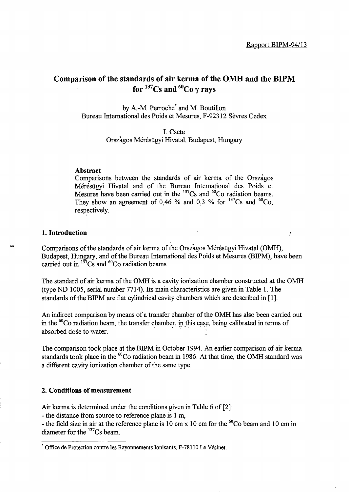$\mathbf{r}$ 

## Comparison of the standards of air kerma of the OMH and the BIPM for  $137$ Cs and  $60$ Co  $\gamma$  rays

by A.-M. Perroche<sup>\*</sup> and M. Boutillon Bureau International des Poids et Mesures, F-92312 Sevres Cedex

> I. Csete Orszagos Mérésügyi Hivatal, Budapest, Hungary

#### Abstract

Comparisons between the standards of air kerma of the Orszagos Mérésügyi Hivatal and of the Bureau International des Poids et Mesures have been carried out in the  $137Cs$  and  $60Co$  radiation beams. They show an agreement of 0,46 % and 0,3 % for  $^{137}Cs$  and  $^{60}Co$ , respectively.

#### 1. Introduction

Comparisons of the standards of air kerma of the Orszagos Mérésügyi Hivatal (OMH), Budapest, Hungary, and of the Bureau International des Poids et Mesures (BIPM), have been carried out in  $^{137}Cs$  and <sup>60</sup>Co radiation beams.

The standard of air kerma of the OMH is a cavity ionization chamber constructed at the OMH (type ND 1005, serial number 7714). Its main characteristics are given in Table 1. The standards of the BIPM are flat cylindrical cavity chambers which are described in [1].

An indirect comparison by means of a transfer chamber of the OMH has also been carried out in the  ${}^{60}$ Co radiation beam, the transfer chamber, in this case, being calibrated in terms of absorbed dose to water.

The comparison took place at the BIPM in October 1994. An earlier comparison of air kerma standards took place in the  ${}^{60}Co$  radiation beam in 1986. At that time, the OMH standard was a different cavity ionization chamber of the same type.

#### 2. Conditions of measurement

Air kerma is determined under the conditions given in Table 6 of [2]:

- the distance from source to reference plane is 1 m,

- the field size in air at the reference plane is 10 cm x 10 cm for the  ${}^{60}$ Co beam and 10 cm in diameter for the  $^{137}Cs$  beam.

<sup>•</sup> Office de Protection contre les Rayonnements Ionisants, F-78110 Le Vesinet.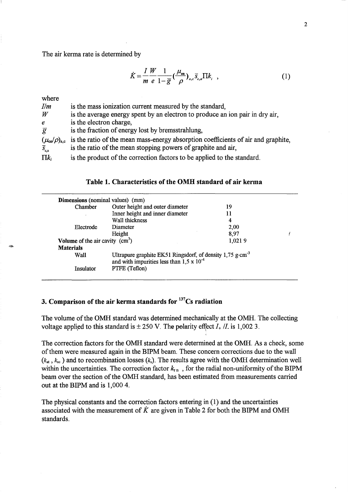The air kerma rate is determined by

$$
\dot{K} = \frac{I}{m} \frac{W}{e} \frac{1}{1 - \overline{g}} \left(\frac{\mu_{\text{en}}}{\rho}\right)_{a,c} \overline{s}_{c,a} \Pi k_i \quad , \tag{1}
$$

| where                                 |                                                                                   |
|---------------------------------------|-----------------------------------------------------------------------------------|
| I/m                                   | is the mass ionization current measured by the standard,                          |
| $\it W$                               | is the average energy spent by an electron to produce an ion pair in dry air,     |
| $\boldsymbol{e}$                      | is the electron charge,                                                           |
| $\overline{g}$                        | is the fraction of energy lost by bremsstrahlung,                                 |
| $(\mu_{\text{en}}/\rho)_{\text{a,c}}$ | is the ratio of the mean mass-energy absorption coefficients of air and graphite. |
| $\overline{S}_{c,a}$                  | is the ratio of the mean stopping powers of graphite and air,                     |
| $\Pi k_i$                             | is the product of the correction factors to be applied to the standard.           |
|                                       |                                                                                   |

#### Table 1. Characteristics of the OMH standard of air kerma

| Chamber                          | Outer height and outer diameter                                                                                             | 19     |  |
|----------------------------------|-----------------------------------------------------------------------------------------------------------------------------|--------|--|
|                                  | Inner height and inner diameter                                                                                             | 11     |  |
|                                  | Wall thickness                                                                                                              | 4      |  |
| Electrode                        | Diameter                                                                                                                    | 2,00   |  |
|                                  | Height                                                                                                                      | 8,97   |  |
| Volume of the air cavity $(cm3)$ |                                                                                                                             | 1,0219 |  |
| <b>Materials</b>                 |                                                                                                                             |        |  |
| Wall                             | Ultrapure graphite EK51 Ringsdorf, of density 1,75 g·cm <sup>-3</sup><br>and with impurities less than $1.5 \times 10^{-4}$ |        |  |
| Insulator                        | PTFE (Teflon)                                                                                                               |        |  |

# 3. Comparison of the air kerma standards for  $137$ Cs radiation

The volume of the OMH standard was determined mechanically at the OMH. The collecting voltage applied to this standard is  $\pm 250$  V. The polarity effect  $I_+ / I$  is 1,002 3.

The correction factors for the OMH standard were determined at the OMH. As a check, some of them were measured again in the BIPM beam. These concern corrections due to the wall  $(k_{at}, k_{sc})$  and to recombination losses  $(k_s)$ . The results agree with the OMH determination well within the uncertainties. The correction factor  $k_{\text{r n}}$ , for the radial non-uniformity of the BIPM beam over the section of the OMH standard, has been estimated from measurements carried out at the BIPM and is 1,0004.

The physical constants and the correction factors entering in (1) and the uncertainties associated with the measurement of  $\dot{K}$  are given in Table 2 for both the BIPM and OMH standards.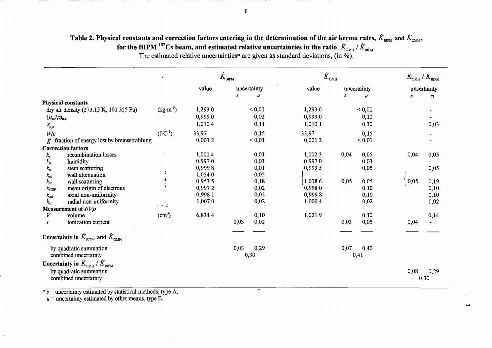## Table 2. Physical constants and correction factors entering in the determination of the air kerma rates,  $\dot{K}_{_{\rm BIPM}}$  and  $\dot{K}_{_{\rm OMH}}$  , for the BIPM  $^{137}$ Cs beam, and estimated relative uncertainties in the ratio  $|\dot{K}_{_{\rm{OMH}}}|\,/\, \dot{K}_{_{\rm{BIPM}}}$ .

The estimated relative uncertainties\* are given as standard deviations, (in %).

|                                 |                                                             |                    | ${\dot K}_{_{\rm BIPM}}$ |      |                            | $\dot{K}_{_{\rm{OMH}}}$ |      |                            | $\dot{K}_{_{\rm OMH}}$ / $\dot{K}_{_{\rm BIPM}}$ |                  |
|---------------------------------|-------------------------------------------------------------|--------------------|--------------------------|------|----------------------------|-------------------------|------|----------------------------|--------------------------------------------------|------------------|
|                                 |                                                             |                    | value                    |      | uncertainty                | value                   |      | uncertainty                |                                                  | uncertainty      |
|                                 |                                                             |                    |                          | S    | $\boldsymbol{\mathcal{U}}$ |                         | S    | $\boldsymbol{\mathcal{U}}$ | S                                                | $\boldsymbol{u}$ |
|                                 | <b>Physical constants</b>                                   |                    |                          |      |                            |                         |      |                            |                                                  |                  |
|                                 | dry air density (273,15 K, 101 325 Pa)                      | $(kg·m-3)$         | 1,293 0                  |      | < 0.01                     | 1,293 0                 |      | < 0.01                     |                                                  |                  |
| $(\mu_{\rm en}/\rho)_{\rm a,c}$ |                                                             |                    | 0,9990                   |      | 0,02                       | 0,9990                  |      | 0,10                       |                                                  |                  |
| $\overline{S}_{c,a}$            |                                                             |                    | 1,0104                   |      | 0,11                       | 1,010 1                 |      | 0,30                       |                                                  | 0,03             |
| W/e                             |                                                             | $(J\cdot C^{-1})$  | 33,97                    |      | 0,15                       | 33,97                   |      | 0,15                       |                                                  |                  |
| $\bar{g}$                       | fraction of energy lost by bremsstrahlung                   |                    | 0,0012                   |      | < 0.01                     | 0,0012                  |      | < 0.01                     |                                                  |                  |
|                                 | <b>Correction factors</b>                                   |                    |                          |      |                            |                         |      |                            |                                                  |                  |
| $k_{\rm s}$                     | recombination losses                                        |                    | 1,0014                   |      | 0,01                       | 1,002 3                 | 0,04 | 0,05                       | 0,04                                             | 0,05             |
| $k_{\rm h}$                     | humidity                                                    |                    | 0,9970                   |      | 0,03                       | 0,9970                  |      | 0,03                       |                                                  |                  |
| $k_{\rm st}$                    | stem scattering                                             |                    | 0,9998                   |      | 0,01                       | 0,999 5                 |      | 0,05                       |                                                  | 0,05             |
| $k_{\rm at}$                    | wall attenuation                                            | ÷                  | 1,054 0                  |      | 0,05                       |                         |      |                            |                                                  |                  |
| $k_{\rm sc}$                    | wall scattering                                             | 鸣                  | 0,953 5                  |      | 0,18                       | 1,0186                  | 0,05 | 0,05                       | 0,05                                             | 0,19             |
| $k_{\rm CEP}$                   | mean origin of electrons                                    | ł                  | 0,9972                   |      | 0,02                       | 0,9980                  |      | 0,10                       |                                                  | 0,10             |
| $k_{\rm an}$                    | axial non-uniformity                                        |                    | 0,998 1                  |      | 0,02                       | 0,9998                  |      | 0,10                       |                                                  | 0,10             |
| $k_{\rm m}$                     | radial non-uniformity                                       | 1.42               | 1,0070                   |      | 0,02                       | 1,000 4                 |      | 0,02                       |                                                  | 0,02             |
|                                 | Measurement of $I/V\rho$                                    |                    |                          |      |                            |                         |      |                            |                                                  |                  |
| V                               | volume                                                      | (cm <sup>3</sup> ) | 6,8344                   |      | 0,10                       | 1,0219                  |      | 0,10                       |                                                  | 0,14             |
|                                 | ionization current                                          |                    |                          | 0,03 | 0,02                       |                         | 0,03 | 0,05                       | 0,04                                             |                  |
|                                 | Uncertainty in $K_{\text{appM}}$ and $K_{\text{OMH}}$       |                    |                          |      |                            |                         |      |                            |                                                  |                  |
|                                 | by quadratic summation                                      |                    |                          | 0,03 | 0,29                       |                         | 0,07 | 0,40                       |                                                  |                  |
|                                 | combined uncertainty                                        |                    |                          |      | 0,30                       |                         |      | 0,41                       |                                                  |                  |
|                                 | Uncertainty in $\dot{K}_{\text{OMH}}/\dot{K}_{\text{BIPM}}$ |                    |                          |      |                            |                         |      |                            |                                                  |                  |
|                                 | by quadratic summation<br>combined uncertainty              |                    |                          |      |                            |                         |      |                            | 0,08                                             | 0,29<br>0,30     |

w

 $s =$  uncertainty estimated by statistical methods, type A,

 $u =$  uncertainty estimated by other means, type B.

~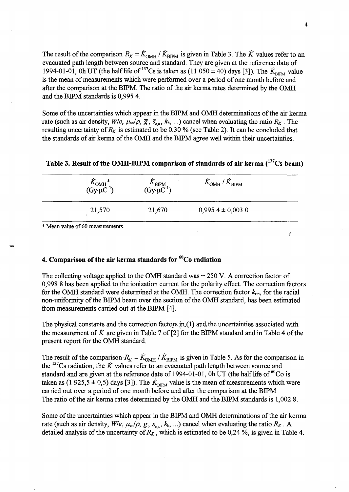The result of the comparison  $R_K = \dot{K}_{\text{OMH}} / \dot{K}_{\text{BIPM}}$  is given in Table 3. The  $\dot{K}$  values refer to an evacuated path length between source and standard. They are given at the reference date of 1994-01-01, Oh UT (the half life of <sup>137</sup>Cs is taken as (11 050  $\pm$  40) days [3]). The  $K_{\text{BPM}}$  value is the mean of measurements which were performed over a period of one month before and after the comparison at the BIPM. The ratio of the air kerma rates determined by the OMH and the BIPM standards is 0,9954.

Some of the uncertainties which appear in the BIPM and OMH determinations of the air kerma rate (such as air density,  $W/e$ ,  $\mu_{en}/\rho$ ,  $\bar{g}$ ,  $\bar{s}_{c,a}$ ,  $k_h$ , ...) cancel when evaluating the ratio  $R_K$ . The resulting uncertainty of  $R_K$  is estimated to be 0,30 % (see Table 2). It can be concluded that the standards of air kerma of the OMH and the BIPM agree well within their uncertainties.

| $K_{\text{OMH}}^* (\text{Gy-}\mu\text{C}^{-1})$ | $K_{\text{BIPM}}$<br>(Gy· $\mu$ C <sup>-1</sup> ) | $\dot{K}_{\rm OMH}$ / $\dot{K}_{\rm BIPM}$ |  |
|-------------------------------------------------|---------------------------------------------------|--------------------------------------------|--|
| 21,570                                          | 21,670                                            | $0,9954 \pm 0,0030$                        |  |
| * Mean value of 60 measurements.                |                                                   |                                            |  |

### Table 3. Result of the OMH-BIPM comparison of standards of air kerma  $(^{137}Cs$  beam)

### 4. Comparison of the air kerma standards for  ${}^{60}$ Co radiation

The collecting voltage applied to the OMH standard was  $+ 250$  V. A correction factor of 0,998 8 has been applied to the ionization current for the polarity effect. The correction factors for the OMH standard were determined at the OMH. The correction factor  $k_{\text{r.p.}}$  for the radial non-uniformity of the BIPM beam over the section of the OMH standard, has been estimated from measurements carried out at the BIPM [4].

The physical constants and the correction factors  $\text{in.} (1)$  and, the uncertainties associated with the measurement of  $\dot{K}$  are given in Table 7 of [2] for the BIPM standard and in Table 4 of the present report for the OMH standard.

The result of the comparison  $R_K = \dot{K}_{OMH} / \dot{K}_{BIPM}$  is given in Table 5. As for the comparison in the <sup>137</sup>Cs radiation, the  $\dot{K}$  values refer to an evacuated path length between source and standard and are given at the reference date of 1994-01-01, 0h UT (the half life of  $^{60}$ Co is taken as (1 925,5  $\pm$  0,5) days [3]). The  $\dot{K}_{BIPM}$  value is the mean of measurements which were carried out over a period of one month before and after the comparison at the BIPM. The ratio of the air kerma rates determined by the OMH and the BIPM standards is 1,0028.

Some of the uncertainties which appear in the BIPM and OMH determinations of the air kerma rate (such as air density,  $W/e$ ,  $\mu_{en}/\rho$ ,  $\overline{g}$ ,  $\overline{s}_{c,a}$ ,  $k_h$ , ...) cancel when evaluating the ratio  $R_K$ . A detailed analysis of the uncertainty of  $R_K$ , which is estimated to be 0,24 %, is given in Table 4.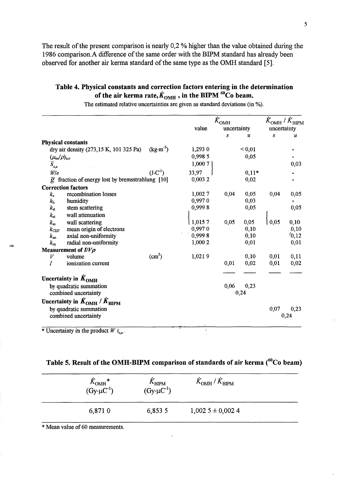The result of the present comparison is nearly  $0.2$  % higher than the value obtained during the 1986 comparison. A difference of the same order with the BIPM standard has already been observed for another air kerma standard of the same type as the OMH standard [5].

## Table 4. Physical constants and correction factors entering in the determination of the air kerma rate,  $\dot{K}_{\text{OMH}}$ , in the BIPM  $^{60}$ Co beam.

|                                                               |                    | $\dot{K}_{\rm OMH}$ |             | $\dot{K}_{\rm OMH}$ / $\dot{K}_{\rm BIPM}$ |                  |                  |
|---------------------------------------------------------------|--------------------|---------------------|-------------|--------------------------------------------|------------------|------------------|
|                                                               |                    | value               | uncertainty |                                            | uncertainty      |                  |
|                                                               |                    |                     | S           | u                                          | $\boldsymbol{S}$ | $\boldsymbol{u}$ |
| <b>Physical constants</b>                                     |                    |                     |             |                                            |                  |                  |
| dry air density (273,15 K, 101 325 Pa)                        | $(kg·m-3)$         | 1,293 0             |             | ${}^{<}0,01$                               |                  |                  |
| $(\mu_{\rm en}/\rho)_{\rm a,c}$                               |                    | 0,998 5             |             | 0,05                                       |                  |                  |
| $\overline{S}_{\rm c,a}$                                      |                    | 1,000 7             |             |                                            |                  | 0,03             |
| W/e                                                           | $(J \cdot C^{-1})$ | 33,97               |             | $0,11*$                                    |                  |                  |
| $\overline{g}$ fraction of energy lost by bremsstrahlung [10] |                    | 0,0032              |             | 0,02                                       |                  |                  |
| <b>Correction factors</b>                                     |                    |                     |             |                                            |                  |                  |
| recombination losses<br>$k_{\rm s}$                           |                    | 1,0027              | 0,04        | 0,05                                       | 0,04             | 0,05             |
| humidity<br>$k_{\rm h}$                                       |                    | 0,9970              |             | 0,03                                       |                  |                  |
| $k_{\rm st}$<br>stem scattering                               |                    | 0,9998              |             | 0,05                                       |                  | 0,05             |
| wall attenuation<br>$k_{\rm at}$                              |                    |                     |             |                                            |                  |                  |
| wall scattering<br>$k_{\rm sc}$                               |                    | 1,0157              | 0,05        | 0,05                                       | 0,05             | 0,10             |
| mean origin of electrons<br>$k_{\rm CEP}$                     |                    | 0,9970              |             | 0,10                                       |                  | 0,10             |
| axial non-uniformity<br>$k_{\rm an}$                          |                    | 0,9998              |             | 0,10                                       |                  | 1/0,12           |
| radial non-uniformity<br>$k_{\rm m}$                          |                    | 1,000 2             |             | 0,01                                       |                  | 0,01             |
| Measurement of $I/V\rho$                                      |                    |                     |             |                                            |                  |                  |
| volume<br>V                                                   | (cm <sup>3</sup> ) | 1,0219              |             | 0,10                                       | 0,01             | 0,11             |
| ionization current                                            |                    |                     | 0,01        | 0,02                                       | 0,01             | 0,02             |
| Uncertainty in $K_{\text{OMH}}$                               |                    |                     |             |                                            |                  |                  |
| by quadratic summation                                        |                    |                     | 0,06        | 0,23                                       |                  |                  |
| combined uncertainty                                          |                    |                     |             | 0,24                                       |                  |                  |
| Uncertainty in $K_{\text{OMH}}$ / $K_{\text{BIPM}}$           |                    |                     |             |                                            |                  |                  |
| by quadratic summation                                        |                    |                     |             |                                            | 0,07             | 0,23             |
| combined uncertainty                                          |                    |                     |             |                                            |                  | 0,24             |
| ***                                                           |                    |                     |             |                                            |                  |                  |

The estimated relative uncertainties are given as standard deviations (in %).

\* Uncertainty in the product  $W \bar{s}_{c,a}$ .

## Table 5. Result of the OMH-BIPM comparison of standards of air kerma  $(^{60}Co$  beam)

| $\dot{K}_{\rm OMH}{}^*$<br>$(Gy \cdot \mu C^{-1})$ | $\Lambda_{\text{BIPM}}$<br>$(Gy \cdot \mu C^{-1})$ | $K_{\rm OMH}$ / $K_{\rm BIPM}$ |  |
|----------------------------------------------------|----------------------------------------------------|--------------------------------|--|
| 6,8710                                             | 6,853 5                                            | $1,0025 \pm 0,0024$            |  |

\* Mean value of 60 measurements.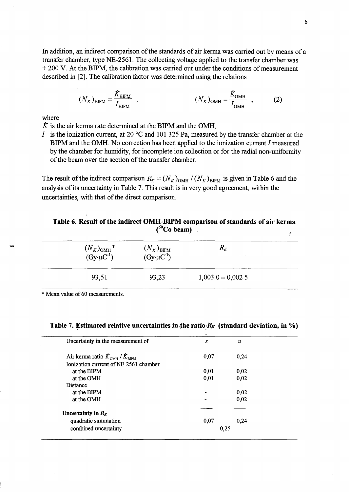In addition, an indirect comparison of the standards of air kerma was carried out by means of a transfer chamber, type NE-2561. The collecting voltage applied to the transfer chamber was + 200 V. At the BIPM, the calibration was carried out under the conditions of measurement described in [2]. The calibration factor was determined using the relations

$$
(N_K)_{\text{BIPM}} = \frac{\dot{K}_{\text{BIPM}}}{I_{\text{BIPM}}}, \qquad (N_K)_{\text{OMH}} = \frac{\dot{K}_{\text{OMH}}}{I_{\text{OMH}}}, \qquad (2)
$$

where

 $\dot{K}$  is the air kerma rate determined at the BIPM and the OMH,

I is the ionization current, at 20  $\rm{^{\circ}C}$  and 101 325 Pa, measured by the transfer chamber at the BIPM and the OMH. No correction has been applied to the ionization current I measured by the chamber for humidity, for incomplete ion collection or for the radial non-uniformity of the beam over the section of the transfer chamber.

The result of the indirect comparison  $R_K = (N_K)_{\text{OMH}} / (N_K)_{\text{BIPM}}$  is given in Table 6 and the analysis of its uncertainty in Table 7. This result is in very good agreement, within the uncertainties, with that of the direct comparison.

| <b>CU UCAIII</b>                                       |                                               |                     |  |
|--------------------------------------------------------|-----------------------------------------------|---------------------|--|
| $\frac{(N_K)_{\rm OMH}}{({\rm Gy}\cdot \mu{\rm C}^1)}$ | $(N_K)_{\rm BIPM}$<br>$(Gy \cdot \mu C^{-1})$ | $R_K$               |  |
| 93,51                                                  | 93,23                                         | $1,003$ 0 ± 0,002 5 |  |

### Table 6. Result of the indirect OMH-BIPM comparison of standards of air kerma  $(^{60}Co$  beam)

\* Mean value of 60 measurements.

## Table 7. Estimated relative uncertainties in the ratio  $R_K$  (standard deviation, in %)

| Uncertainty in the measurement of     | S    | и    |  |
|---------------------------------------|------|------|--|
| Air kerma ratio $K_{OMH} / K_{BIPM}$  | 0,07 | 0,24 |  |
| Ionization current of NE 2561 chamber |      |      |  |
| at the BIPM                           | 0,01 | 0,02 |  |
| at the OMH                            | 0,01 | 0,02 |  |
| Distance                              |      |      |  |
| at the BIPM                           |      | 0.02 |  |
| at the OMH                            |      | 0,02 |  |
| Uncertainty in $R_K$                  |      |      |  |
| quadratic summation                   | 0.07 | 0,24 |  |
| combined uncertainty                  | 0,25 |      |  |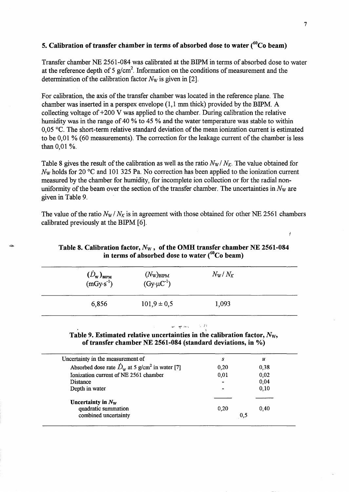## 5. Calibration of transfer chamber in terms of absorbed dose to water ( ${}^{60}$ Co beam)

Transfer chamber NE 2561-084 was calibrated at the BIPM in terms of absorbed dose to water at the reference depth of 5  $g/cm<sup>2</sup>$ . Information on the conditions of measurement and the determination of the calibration factor *Nw* is given in [2].

For calibration, the axis of the transfer chamber was located in the reference plane. The chamber was inserted in a perspex envelope (1,1 mm thick) provided by the BIPM. A collecting voltage of +200 V was applied to the chamber. During calibration the relative humidity was in the range of 40 % to 45 % and the water temperature was stable to within 0,05  $\degree$ C. The short-term relative standard deviation of the mean ionization current is estimated to be 0,01 % (60 measurements). The correction for the leakage current of the chamber is less than 0,01 %.

Table 8 gives the result of the calibration as well as the ratio  $N_w/N_K$ . The value obtained for  $N_w$  holds for 20  $\degree$ C and 101 325 Pa. No correction has been applied to the ionization current measured by the chamber for humidity, for incomplete ion collection or for the radial nonuniformity of the beam over the section of the transfer chamber. The uncertainties in  $N_{w}$  are given in Table 9.

The value of the ratio  $N_W / N_K$  is in agreement with those obtained for other NE 2561 chambers calibrated previously at the BIPM [6].

| Table 8. Calibration factor, $N_W$ , of the OMH transfer chamber NE 2561-084 |
|------------------------------------------------------------------------------|
| in terms of absorbed dose to water $(^{60}Co$ beam)                          |

| $(D_{\text{W}})_{\text{BIPM}}$<br>$(mGy·s-1)$ | $(N_{\rm W})_{\rm BIPM}$<br>$(Gy \cdot \mu C^{-1})$ | $N_{\rm W}/N_K$ |  |
|-----------------------------------------------|-----------------------------------------------------|-----------------|--|
| 6,856                                         | $101.9 \pm 0.5$                                     | 1,093           |  |

1

Table 9. Estimated relative uncertainties in the calibration factor, *Nw,*  of transfer chamber NE 2561-084 (standard deviations, in %)

| Uncertainty in the measurement of                                        | S                        | u    |  |
|--------------------------------------------------------------------------|--------------------------|------|--|
| Absorbed dose rate $\dot{D}_{\rm w}$ at 5 g/cm <sup>2</sup> in water [7] | 0.20                     | 0,38 |  |
| Ionization current of NE 2561 chamber                                    | 0,01                     | 0,02 |  |
| Distance                                                                 | $\overline{\phantom{0}}$ | 0.04 |  |
| Depth in water                                                           | -                        | 0,10 |  |
| Uncertainty in $N_{\rm W}$                                               |                          |      |  |
| quadratic summation                                                      | 0.20                     | 0.40 |  |
| combined uncertainty                                                     | 0,5                      |      |  |
|                                                                          |                          |      |  |

ř